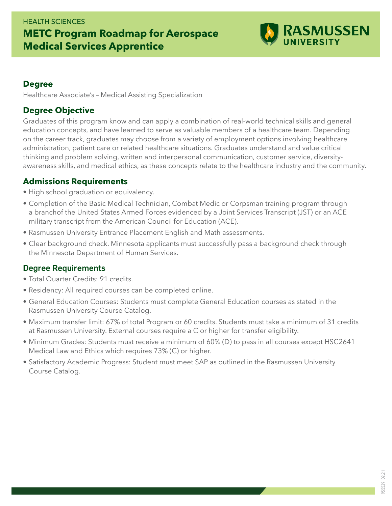#### HEALTH SCIENCES

# **METC Program Roadmap for Aerospace Medical Services Apprentice**



#### **Degree**

Healthcare Associate's – Medical Assisting Specialization

### **Degree Objective**

Graduates of this program know and can apply a combination of real-world technical skills and general education concepts, and have learned to serve as valuable members of a healthcare team. Depending on the career track, graduates may choose from a variety of employment options involving healthcare administration, patient care or related healthcare situations. Graduates understand and value critical thinking and problem solving, written and interpersonal communication, customer service, diversityawareness skills, and medical ethics, as these concepts relate to the healthcare industry and the community.

## **Admissions Requirements**

- High school graduation or equivalency.
- Completion of the Basic Medical Technician, Combat Medic or Corpsman training program through a branchof the United States Armed Forces evidenced by a Joint Services Transcript (JST) or an ACE military transcript from the American Council for Education (ACE).
- Rasmussen University Entrance Placement English and Math assessments.
- Clear background check. Minnesota applicants must successfully pass a background check through the Minnesota Department of Human Services.

## Degree Requirements

- Total Quarter Credits: 91 credits.
- Residency: All required courses can be completed online.
- General Education Courses: Students must complete General Education courses as stated in the Rasmussen University Course Catalog.
- Maximum transfer limit: 67% of total Program or 60 credits. Students must take a minimum of 31 credits at Rasmussen University. External courses require a C or higher for transfer eligibility.
- Minimum Grades: Students must receive a minimum of 60% (D) to pass in all courses except HSC2641 Medical Law and Ethics which requires 73% (C) or higher.
- Satisfactory Academic Progress: Student must meet SAP as outlined in the Rasmussen University Course Catalog.